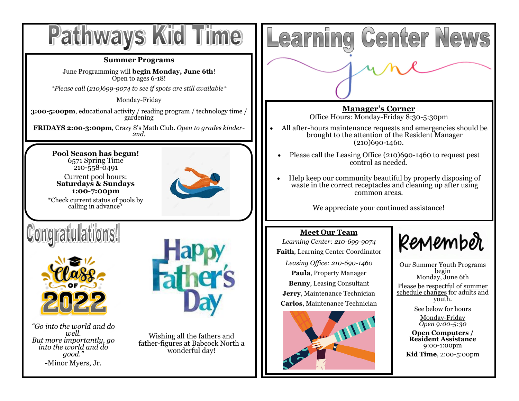